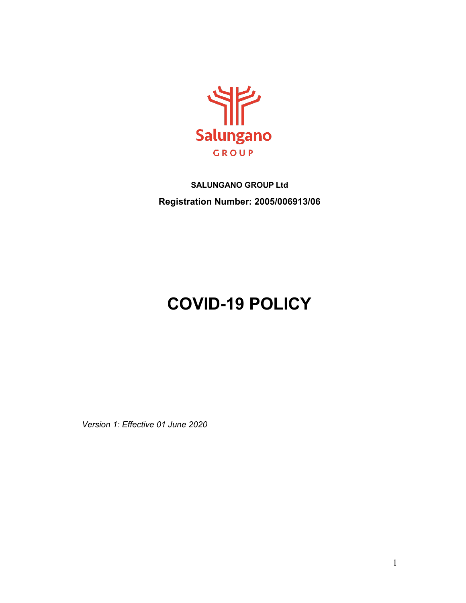

# **SALUNGANO GROUP Ltd Registration Number: 2005/006913/06**

# **COVID-19 POLICY**

*Version 1: Effective 01 June 2020*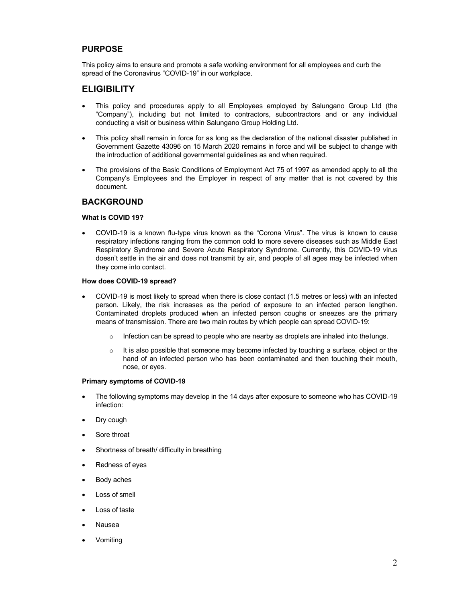### **PURPOSE**

This policy aims to ensure and promote a safe working environment for all employees and curb the spread of the Coronavirus "COVID-19" in our workplace.

# **ELIGIBILITY**

- This policy and procedures apply to all Employees employed by Salungano Group Ltd (the "Company"), including but not limited to contractors, subcontractors and or any individual conducting a visit or business within Salungano Group Holding Ltd.
- This policy shall remain in force for as long as the declaration of the national disaster published in Government Gazette 43096 on 15 March 2020 remains in force and will be subject to change with the introduction of additional governmental guidelines as and when required.
- The provisions of the Basic Conditions of Employment Act 75 of 1997 as amended apply to all the Company's Employees and the Employer in respect of any matter that is not covered by this document.

#### **BACKGROUND**

#### **What is COVID 19?**

• COVID-19 is a known flu-type virus known as the "Corona Virus". The virus is known to cause respiratory infections ranging from the common cold to more severe diseases such as Middle East Respiratory Syndrome and Severe Acute Respiratory Syndrome. Currently, this COVID-19 virus doesn't settle in the air and does not transmit by air, and people of all ages may be infected when they come into contact.

#### **How does COVID-19 spread?**

- COVID-19 is most likely to spread when there is close contact (1.5 metres or less) with an infected person. Likely, the risk increases as the period of exposure to an infected person lengthen. Contaminated droplets produced when an infected person coughs or sneezes are the primary means of transmission. There are two main routes by which people can spread COVID-19:
	- $\circ$  Infection can be spread to people who are nearby as droplets are inhaled into the lungs.
	- $\circ$  It is also possible that someone may become infected by touching a surface, object or the hand of an infected person who has been contaminated and then touching their mouth, nose, or eyes.

#### **Primary symptoms of COVID-19**

- The following symptoms may develop in the 14 days after exposure to someone who has COVID-19 infection:
- Dry cough
- Sore throat
- Shortness of breath/ difficulty in breathing
- Redness of eyes
- Body aches
- Loss of smell
- Loss of taste
- Nausea
- Vomiting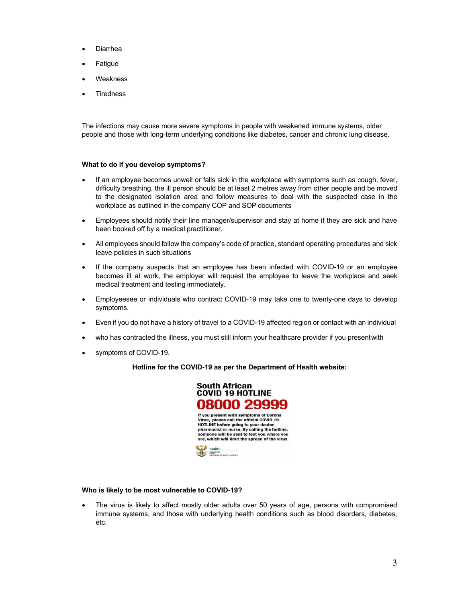- Diarrhea
- **Fatigue**
- **Weakness**
- **Tiredness**

The infections may cause more severe symptoms in people with weakened immune systems, older people and those with long-term underlying conditions like diabetes, cancer and chronic lung disease.

#### **What to do if you develop symptoms?**

- If an employee becomes unwell or falls sick in the workplace with symptoms such as cough, fever, difficulty breathing, the ill person should be at least 2 metres away from other people and be moved to the designated isolation area and follow measures to deal with the suspected case in the workplace as outlined in the company COP and SOP documents
- Employees should notify their line manager/supervisor and stay at home if they are sick and have been booked off by a medical practitioner.
- All employees should follow the company's code of practice, standard operating procedures and sick leave policies in such situations
- If the company suspects that an employee has been infected with COVID-19 or an employee becomes ill at work, the employer will request the employee to leave the workplace and seek medical treatment and testing immediately.
- Employeesee or individuals who contract COVID-19 may take one to twenty-one days to develop symptoms.
- Even if you do not have a history of travel to a COVID-19 affected region or contact with an individual
- who has contracted the illness, you must still inform your healthcare provider if you presentwith
- symptoms of COVID-19.

#### **Hotline for the COVID-19 as per the Department of Health website:**



#### **Who is likely to be most vulnerable to COVID-19?**

• The virus is likely to affect mostly older adults over 50 years of age, persons with compromised immune systems, and those with underlying health conditions such as blood disorders, diabetes, etc.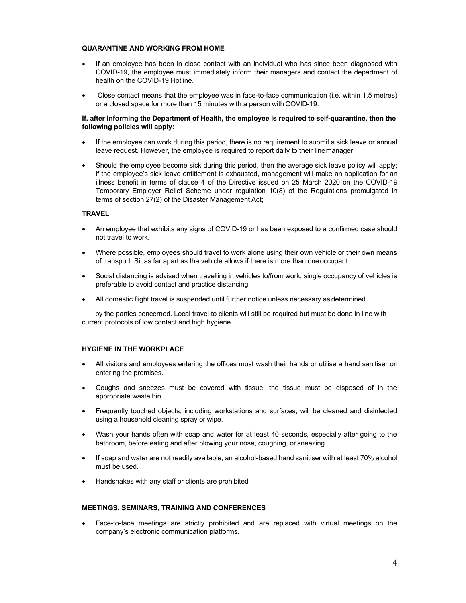#### **QUARANTINE AND WORKING FROM HOME**

- If an employee has been in close contact with an individual who has since been diagnosed with COVID-19, the employee must immediately inform their managers and contact the department of health on the COVID-19 Hotline.
- Close contact means that the employee was in face-to-face communication (i.e. within 1.5 metres) or a closed space for more than 15 minutes with a person with COVID-19.

#### **If, after informing the Department of Health, the employee is required to self-quarantine, then the following policies will apply:**

- If the employee can work during this period, there is no requirement to submit a sick leave or annual leave request. However, the employee is required to report daily to their linemanager.
- Should the employee become sick during this period, then the average sick leave policy will apply; if the employee's sick leave entitlement is exhausted, management will make an application for an illness benefit in terms of clause 4 of the Directive issued on 25 March 2020 on the COVID-19 Temporary Employer Relief Scheme under regulation 10(8) of the Regulations promulgated in terms of section 27(2) of the Disaster Management Act;

#### **TRAVEL**

- An employee that exhibits any signs of COVID-19 or has been exposed to a confirmed case should not travel to work.
- Where possible, employees should travel to work alone using their own vehicle or their own means of transport. Sit as far apart as the vehicle allows if there is more than oneoccupant.
- Social distancing is advised when travelling in vehicles to/from work; single occupancy of vehicles is preferable to avoid contact and practice distancing
- All domestic flight travel is suspended until further notice unless necessary as determined

by the parties concerned. Local travel to clients will still be required but must be done in line with current protocols of low contact and high hygiene.

#### **HYGIENE IN THE WORKPLACE**

- All visitors and employees entering the offices must wash their hands or utilise a hand sanitiser on entering the premises.
- Coughs and sneezes must be covered with tissue; the tissue must be disposed of in the appropriate waste bin.
- Frequently touched objects, including workstations and surfaces, will be cleaned and disinfected using a household cleaning spray or wipe.
- Wash your hands often with soap and water for at least 40 seconds, especially after going to the bathroom, before eating and after blowing your nose, coughing, or sneezing.
- If soap and water are not readily available, an alcohol-based hand sanitiser with at least 70% alcohol must be used.
- Handshakes with any staff or clients are prohibited

#### **MEETINGS, SEMINARS, TRAINING AND CONFERENCES**

• Face-to-face meetings are strictly prohibited and are replaced with virtual meetings on the company's electronic communication platforms.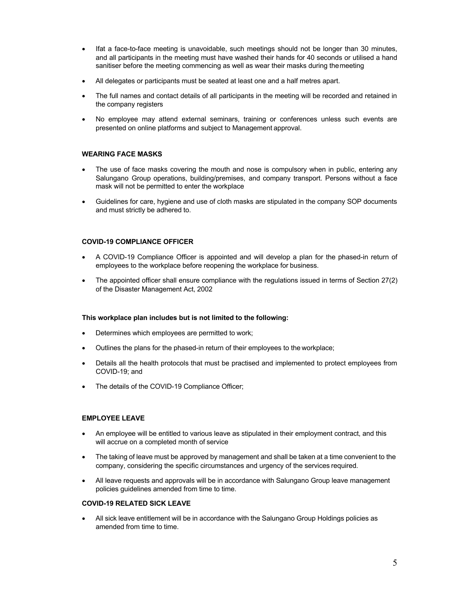- Ifat a face-to-face meeting is unavoidable, such meetings should not be longer than 30 minutes, and all participants in the meeting must have washed their hands for 40 seconds or utilised a hand sanitiser before the meeting commencing as well as wear their masks during themeeting
- All delegates or participants must be seated at least one and a half metres apart.
- The full names and contact details of all participants in the meeting will be recorded and retained in the company registers
- No employee may attend external seminars, training or conferences unless such events are presented on online platforms and subject to Management approval.

#### **WEARING FACE MASKS**

- The use of face masks covering the mouth and nose is compulsory when in public, entering any Salungano Group operations, building/premises, and company transport. Persons without a face mask will not be permitted to enter the workplace
- Guidelines for care, hygiene and use of cloth masks are stipulated in the company SOP documents and must strictly be adhered to.

#### **COVID-19 COMPLIANCE OFFICER**

- A COVID-19 Compliance Officer is appointed and will develop a plan for the phased-in return of employees to the workplace before reopening the workplace for business.
- The appointed officer shall ensure compliance with the regulations issued in terms of Section 27(2) of the Disaster Management Act, 2002

#### **This workplace plan includes but is not limited to the following:**

- Determines which employees are permitted to work;
- Outlines the plans for the phased-in return of their employees to the workplace;
- Details all the health protocols that must be practised and implemented to protect employees from COVID-19; and
- The details of the COVID-19 Compliance Officer;

#### **EMPLOYEE LEAVE**

- An employee will be entitled to various leave as stipulated in their employment contract, and this will accrue on a completed month of service
- The taking of leave must be approved by management and shall be taken at a time convenient to the company, considering the specific circumstances and urgency of the services required.
- All leave requests and approvals will be in accordance with Salungano Group leave management policies guidelines amended from time to time.

#### **COVID-19 RELATED SICK LEAVE**

• All sick leave entitlement will be in accordance with the Salungano Group Holdings policies as amended from time to time.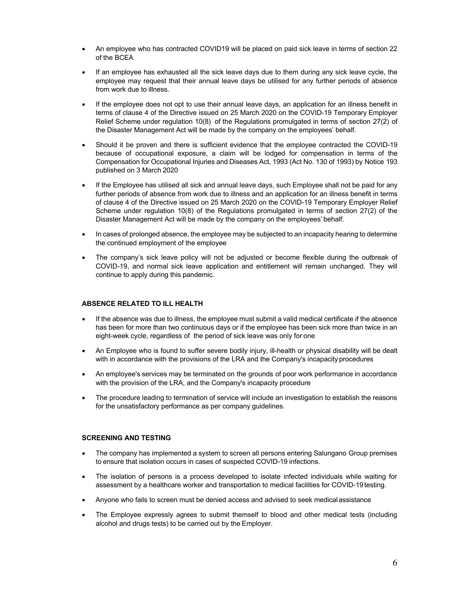- An employee who has contracted COVID19 will be placed on paid sick leave in terms of section 22 of the BCEA
- If an employee has exhausted all the sick leave days due to them during any sick leave cycle, the employee may request that their annual leave days be utilised for any further periods of absence from work due to illness.
- If the employee does not opt to use their annual leave days, an application for an illness benefit in terms of clause 4 of the Directive issued on 25 March 2020 on the COVID-19 Temporary Employer Relief Scheme under regulation 10(8) of the Regulations promulgated in terms of section 27(2) of the Disaster Management Act will be made by the company on the employees' behalf.
- Should it be proven and there is sufficient evidence that the employee contracted the COVID-19 because of occupational exposure, a claim will be lodged for compensation in terms of the Compensation for Occupational Injuries and Diseases Act, 1993 (Act No. 130 of 1993) by Notice 193 published on 3 March 2020
- If the Employee has utilised all sick and annual leave days, such Employee shall not be paid for any further periods of absence from work due to illness and an application for an illness benefit in terms of clause 4 of the Directive issued on 25 March 2020 on the COVID-19 Temporary Employer Relief Scheme under regulation 10(8) of the Regulations promulgated in terms of section 27(2) of the Disaster Management Act will be made by the company on the employees' behalf.
- In cases of prolonged absence, the employee may be subjected to an incapacity hearing to determine the continued employment of the employee
- The company's sick leave policy will not be adjusted or become flexible during the outbreak of COVID-19, and normal sick leave application and entitlement will remain unchanged. They will continue to apply during this pandemic.

#### **ABSENCE RELATED TO ILL HEALTH**

- If the absence was due to illness, the employee must submit a valid medical certificate if the absence has been for more than two continuous days or if the employee has been sick more than twice in an eight-week cycle, regardless of the period of sick leave was only for one
- An Employee who is found to suffer severe bodily injury, ill-health or physical disability will be dealt with in accordance with the provisions of the LRA and the Company's incapacity procedures
- An employee's services may be terminated on the grounds of poor work performance in accordance with the provision of the LRA, and the Company's incapacity procedure
- The procedure leading to termination of service will include an investigation to establish the reasons for the unsatisfactory performance as per company guidelines.

#### **SCREENING AND TESTING**

- The company has implemented a system to screen all persons entering Salungano Group premises to ensure that isolation occurs in cases of suspected COVID-19 infections.
- The isolation of persons is a process developed to isolate infected individuals while waiting for assessment by a healthcare worker and transportation to medical facilities for COVID-19 testing.
- Anyone who fails to screen must be denied access and advised to seek medical assistance
- The Employee expressly agrees to submit themself to blood and other medical tests (including alcohol and drugs tests) to be carried out by the Employer.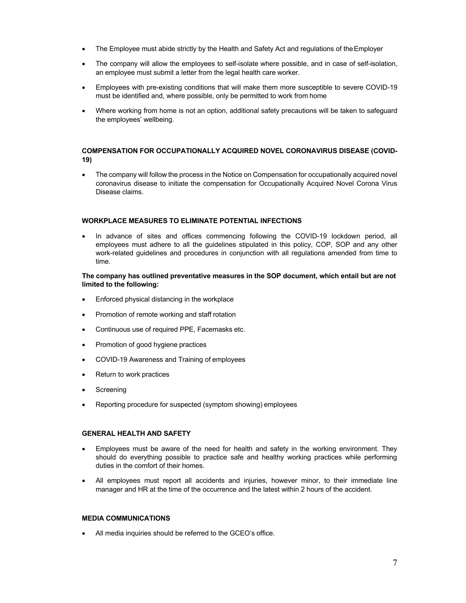- The Employee must abide strictly by the Health and Safety Act and regulations of the Employer
- The company will allow the employees to self-isolate where possible, and in case of self-isolation, an employee must submit a letter from the legal health care worker.
- Employees with pre-existing conditions that will make them more susceptible to severe COVID-19 must be identified and, where possible, only be permitted to work from home
- Where working from home is not an option, additional safety precautions will be taken to safeguard the employees' wellbeing.

#### **COMPENSATION FOR OCCUPATIONALLY ACQUIRED NOVEL CORONAVIRUS DISEASE (COVID-19)**

• The company will follow the process in the Notice on Compensation for occupationally acquired novel coronavirus disease to initiate the compensation for Occupationally Acquired Novel Corona Virus Disease claims.

#### **WORKPLACE MEASURES TO ELIMINATE POTENTIAL INFECTIONS**

In advance of sites and offices commencing following the COVID-19 lockdown period, all employees must adhere to all the guidelines stipulated in this policy, COP, SOP and any other work-related guidelines and procedures in conjunction with all regulations amended from time to time.

#### **The company has outlined preventative measures in the SOP document, which entail but are not limited to the following:**

- Enforced physical distancing in the workplace
- Promotion of remote working and staff rotation
- Continuous use of required PPE, Facemasks etc.
- Promotion of good hygiene practices
- COVID-19 Awareness and Training of employees
- Return to work practices
- Screening
- Reporting procedure for suspected (symptom showing) employees

#### **GENERAL HEALTH AND SAFETY**

- Employees must be aware of the need for health and safety in the working environment. They should do everything possible to practice safe and healthy working practices while performing duties in the comfort of their homes.
- All employees must report all accidents and injuries, however minor, to their immediate line manager and HR at the time of the occurrence and the latest within 2 hours of the accident.

#### **MEDIA COMMUNICATIONS**

All media inquiries should be referred to the GCEO's office.